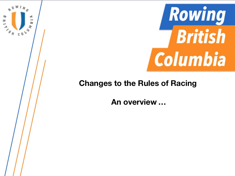



**An overview …**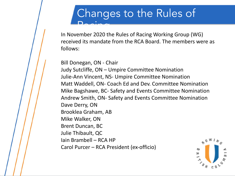In November 2020 the Rules of Racing Working Group (WG) received its mandate from the RCA Board. The members were as follows:

Bill Donegan, ON - Chair

Judy Sutcliffe, ON – Umpire Committee Nomination Julie-Ann Vincent, NS- Umpire Committee Nomination Matt Waddell, ON- Coach Ed and Dev. Committee Nomination Mike Bagshawe, BC- Safety and Events Committee Nomination Andrew Smith, ON- Safety and Events Committee Nomination Dave Derry, ON Brooklea Graham, AB Mike Walker, ON Brent Duncan, BC Julie Thibault, QC Iain Brambell – RCA HP Carol Purcer – RCA President (ex-officio)

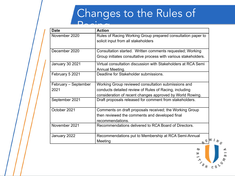# Changes to the Rules of

| <b>Date</b>            | <b>Action</b>                                                                                                                 |
|------------------------|-------------------------------------------------------------------------------------------------------------------------------|
| November 2020          | Rules of Racing Working Group prepared consultation paper to<br>solicit input from all stakeholders                           |
| December 2020          | Consultation started. Written comments requested; Working<br>Group initiates consultative process with various stakeholders.  |
| <b>January 30 2021</b> | Virtual consultation discussion with Stakeholders at RCA Semi<br>Annual Meeting.                                              |
| February 5 2021        | Deadline for Stakeholder submissions.                                                                                         |
| February – September   | Working Group reviewed consultation submissions and                                                                           |
| 2021                   | conducts detailed review of Rules of Racing, including<br>consideration of recent changes approved by World Rowing.           |
| September 2021         | Draft proposals released for comment from stakeholders.                                                                       |
| October 2021           | Comments on draft proposals received; the Working Group<br>then reviewed the comments and developed final<br>recommendations. |
| November 2021          | Recommendations delivered to RCA Board of Directors.                                                                          |
| January 2022           | Recommendations put to Membership at RCA Semi-Annual<br>Meeting                                                               |

 $W I_{N_Q}$ ص  $\begin{array}{c}\n\mathbf{y} \\
\mathbf{y} \\
\mathbf{y} \\
\mathbf{y} \\
\mathbf{y} \\
\mathbf{y} \\
\mathbf{y}\n\end{array}$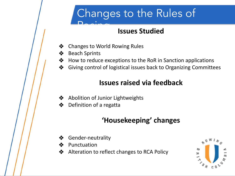# Changes to the Rules of

#### **Issues Studied**

- ❖ Changes to World Rowing Rules
- Beach Sprints
- ❖ How to reduce exceptions to the RoR in Sanction applications
- ❖ Giving control of logistical issues back to Organizing Committees

#### **Issues raised via feedback**

- ❖ Abolition of Junior Lightweights
- ❖ Definition of a regatta

### **'Housekeeping' changes**

- ❖ Gender-neutrality
- **Punctuation**
- ❖ Alteration to reflect changes to RCA Policy

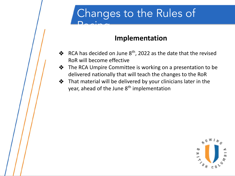#### **Implementation**

- ◆ RCA has decided on June  $8<sup>th</sup>$ , 2022 as the date that the revised RoR will become effective
- ❖ The RCA Umpire Committee is working on a presentation to be delivered nationally that will teach the changes to the RoR
- ❖ That material will be delivered by your clinicians later in the year, ahead of the June 8<sup>th</sup> implementation

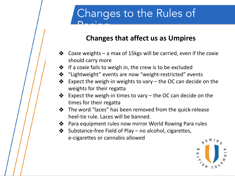#### **Changes that affect us as Umpires**

- $\triangle$  Coxie weights a max of 15kgs will be carried, even if the coxie should carry more
- **❖** If a coxie fails to weigh in, the crew is to be excluded
- ❖ "Lightweight" events are now "weight-restricted" events
- Expect the weigh-in weights to vary  $-$  the OC can decide on the weights for their regatta
- $\diamondsuit$  Expect the weigh-in times to vary the OC can decide on the times for their regatta
- ❖ The word "laces" has been removed from the quick-release heel-tie rule. Laces will be banned.
- ❖ Para equipment rules now mirror World Rowing Para rules
- ❖ Substance-free Field of Play no alcohol, cigarettes, e-cigarettes or cannabis allowed

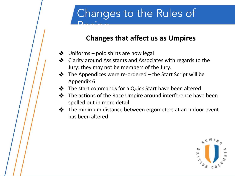#### **Changes that affect us as Umpires**

- $\triangleleft$  Uniforms polo shirts are now legal!
- ❖ Clarity around Assistants and Associates with regards to the Jury: they may not be members of the Jury.
- $\triangle$  The Appendices were re-ordered the Start Script will be Appendix 6
- ❖ The start commands for a Quick Start have been altered
- ❖ The actions of the Race Umpire around interference have been spelled out in more detail
- ❖ The minimum distance between ergometers at an Indoor event has been altered